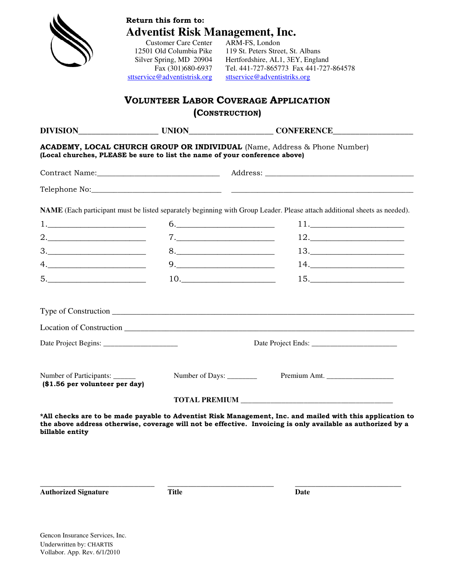| <b>Adventist Risk Management, Inc.</b><br><b>Customer Care Center</b><br>ARM-FS, London                                                                                                                                                                                                                                                                                                               |                                                   |                                                                                                                                                                                                                          |  |  |  |
|-------------------------------------------------------------------------------------------------------------------------------------------------------------------------------------------------------------------------------------------------------------------------------------------------------------------------------------------------------------------------------------------------------|---------------------------------------------------|--------------------------------------------------------------------------------------------------------------------------------------------------------------------------------------------------------------------------|--|--|--|
|                                                                                                                                                                                                                                                                                                                                                                                                       | 12501 Old Columbia Pike                           | 119 St. Peters Street, St. Albans                                                                                                                                                                                        |  |  |  |
|                                                                                                                                                                                                                                                                                                                                                                                                       | Silver Spring, MD 20904                           | Hertfordshire, AL1, 3EY, England                                                                                                                                                                                         |  |  |  |
|                                                                                                                                                                                                                                                                                                                                                                                                       | Fax (301)680-6937<br>sttservice@adventistrisk.org | Tel. 441-727-865773 Fax 441-727-864578<br>sttservice@adventistriks.org                                                                                                                                                   |  |  |  |
|                                                                                                                                                                                                                                                                                                                                                                                                       |                                                   |                                                                                                                                                                                                                          |  |  |  |
|                                                                                                                                                                                                                                                                                                                                                                                                       |                                                   | <b>VOLUNTEER LABOR COVERAGE APPLICATION</b><br>(CONSTRUCTION)                                                                                                                                                            |  |  |  |
|                                                                                                                                                                                                                                                                                                                                                                                                       |                                                   |                                                                                                                                                                                                                          |  |  |  |
|                                                                                                                                                                                                                                                                                                                                                                                                       |                                                   |                                                                                                                                                                                                                          |  |  |  |
| (Local churches, PLEASE be sure to list the name of your conference above)                                                                                                                                                                                                                                                                                                                            |                                                   | ACADEMY, LOCAL CHURCH GROUP OR INDIVIDUAL (Name, Address & Phone Number)                                                                                                                                                 |  |  |  |
|                                                                                                                                                                                                                                                                                                                                                                                                       |                                                   |                                                                                                                                                                                                                          |  |  |  |
|                                                                                                                                                                                                                                                                                                                                                                                                       |                                                   |                                                                                                                                                                                                                          |  |  |  |
|                                                                                                                                                                                                                                                                                                                                                                                                       |                                                   | NAME (Each participant must be listed separately beginning with Group Leader. Please attach additional sheets as needed).                                                                                                |  |  |  |
| 1.                                                                                                                                                                                                                                                                                                                                                                                                    |                                                   | $6. \underline{\hspace{2cm}}$<br>$11. \hspace{2.5cm} \rule{2.5cm}{0.15cm}$                                                                                                                                               |  |  |  |
|                                                                                                                                                                                                                                                                                                                                                                                                       |                                                   | $12. \underline{\hspace{2cm}}$<br>7.                                                                                                                                                                                     |  |  |  |
| $\begin{array}{c}\n3.\n\end{array}$                                                                                                                                                                                                                                                                                                                                                                   |                                                   | $13. \qquad \qquad \overbrace{\qquad \qquad }$<br>$8. \underline{\hspace{2cm}}$                                                                                                                                          |  |  |  |
| $\begin{picture}(20,10) \put(0,0){\dashbox{0.5}(5,0){ }} \put(15,0){\circle{1}} \put(25,0){\circle{1}} \put(35,0){\circle{1}} \put(45,0){\circle{1}} \put(55,0){\circle{1}} \put(55,0){\circle{1}} \put(55,0){\circle{1}} \put(55,0){\circle{1}} \put(55,0){\circle{1}} \put(55,0){\circle{1}} \put(55,0){\circle{1}} \put(55,0){\circle{1}} \put(55,0){\circle{1}} \put(55,0){\circle{1}} \put(55,0$ |                                                   | $14. \underline{\hspace{2cm}}$                                                                                                                                                                                           |  |  |  |
| $\begin{tabular}{c} 5. & \begin{tabular}{@{}c@{}} \textbf{---} & \textbf{---} & \textbf{---} & \textbf{---} \\ \end{tabular} \end{tabular} \end{tabular}$                                                                                                                                                                                                                                             |                                                   | 10. $\qquad \qquad$<br>$15. \underline{\hspace{2cm}} \underline{\hspace{2cm}}$                                                                                                                                           |  |  |  |
|                                                                                                                                                                                                                                                                                                                                                                                                       |                                                   |                                                                                                                                                                                                                          |  |  |  |
|                                                                                                                                                                                                                                                                                                                                                                                                       |                                                   |                                                                                                                                                                                                                          |  |  |  |
|                                                                                                                                                                                                                                                                                                                                                                                                       |                                                   |                                                                                                                                                                                                                          |  |  |  |
|                                                                                                                                                                                                                                                                                                                                                                                                       |                                                   | Date Project Ends:                                                                                                                                                                                                       |  |  |  |
|                                                                                                                                                                                                                                                                                                                                                                                                       |                                                   |                                                                                                                                                                                                                          |  |  |  |
| Number of Participants: _______<br>(\$1.56 per volunteer per day)                                                                                                                                                                                                                                                                                                                                     | Number of Days: ________                          |                                                                                                                                                                                                                          |  |  |  |
|                                                                                                                                                                                                                                                                                                                                                                                                       |                                                   |                                                                                                                                                                                                                          |  |  |  |
|                                                                                                                                                                                                                                                                                                                                                                                                       |                                                   | *All checks are to be made payable to Adventist Risk Management, Inc. and mailed with this application to<br>the above address otherwise, coverage will not be effective. Invoicing is only available as authorized by a |  |  |  |
| billable entity                                                                                                                                                                                                                                                                                                                                                                                       |                                                   |                                                                                                                                                                                                                          |  |  |  |

**Authorized Signature Title Date** 

**\_\_\_\_\_\_\_\_\_\_\_\_\_\_\_\_\_\_\_\_\_\_\_\_\_\_\_\_ \_\_\_\_\_\_\_\_\_\_\_\_\_\_\_\_\_\_\_\_\_\_\_\_\_\_ \_\_\_\_\_\_\_\_\_\_\_\_\_\_\_\_\_\_\_\_\_\_\_\_\_\_**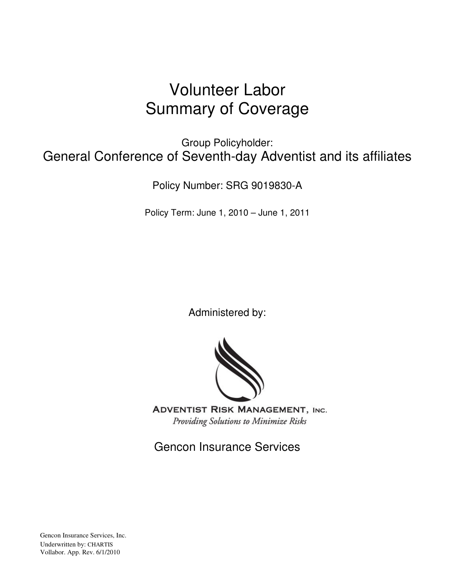# Volunteer Labor Summary of Coverage

Group Policyholder: General Conference of Seventh-day Adventist and its affiliates

Policy Number: SRG 9019830-A

Policy Term: June 1, 2010 – June 1, 2011

Administered by:



**ADVENTIST RISK MANAGEMENT, INC.** Providing Solutions to Minimize Risks

Gencon Insurance Services

Gencon Insurance Services, Inc. Underwritten by: CHARTIS Vollabor. App. Rev. 6/1/2010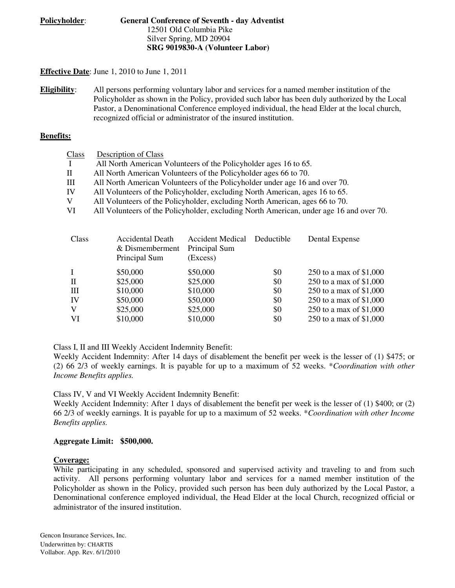#### **Policyholder**: **General Conference of Seventh - day Adventist**  12501 Old Columbia Pike Silver Spring, MD 20904 **SRG 9019830-A (Volunteer Labor)**

#### **Effective Date**: June 1, 2010 to June 1, 2011

**Eligibility**: All persons performing voluntary labor and services for a named member institution of the Policyholder as shown in the Policy, provided such labor has been duly authorized by the Local Pastor, a Denominational Conference employed individual, the head Elder at the local church, recognized official or administrator of the insured institution.

#### **Benefits:**

| <b>Class</b> | Description of Class                                                                    |
|--------------|-----------------------------------------------------------------------------------------|
| $\mathbf{I}$ | All North American Volunteers of the Policyholder ages 16 to 65.                        |
| $\mathbf H$  | All North American Volunteers of the Policyholder ages 66 to 70.                        |
| Ш            | All North American Volunteers of the Policyholder under age 16 and over 70.             |
| IV           | All Volunteers of the Policyholder, excluding North American, ages 16 to 65.            |
| V            | All Volunteers of the Policyholder, excluding North American, ages 66 to 70.            |
| VI           | All Volunteers of the Policyholder, excluding North American, under age 16 and over 70. |
|              |                                                                                         |

| Class        | <b>Accidental Death</b><br>& Dismemberment<br>Principal Sum | <b>Accident Medical</b><br>Principal Sum<br>(Excess) | Deductible | Dental Expense           |
|--------------|-------------------------------------------------------------|------------------------------------------------------|------------|--------------------------|
| L            | \$50,000                                                    | \$50,000                                             | \$0        | 250 to a max of $$1,000$ |
| $\mathbf{I}$ | \$25,000                                                    | \$25,000                                             | \$0        | 250 to a max of \$1,000  |
| Ш            | \$10,000                                                    | \$10,000                                             | \$0        | 250 to a max of \$1,000  |
| IV           | \$50,000                                                    | \$50,000                                             | \$0        | 250 to a max of \$1,000  |
| V            | \$25,000                                                    | \$25,000                                             | \$0        | 250 to a max of \$1,000  |
| VI           | \$10,000                                                    | \$10,000                                             | \$0        | 250 to a max of \$1,000  |

Class I, II and III Weekly Accident Indemnity Benefit:

Weekly Accident Indemnity: After 14 days of disablement the benefit per week is the lesser of (1) \$475; or (2) 66 2/3 of weekly earnings. It is payable for up to a maximum of 52 weeks. \**Coordination with other Income Benefits applies.* 

Class IV, V and VI Weekly Accident Indemnity Benefit:

Weekly Accident Indemnity: After 1 days of disablement the benefit per week is the lesser of (1) \$400; or (2) 66 2/3 of weekly earnings. It is payable for up to a maximum of 52 weeks. \**Coordination with other Income Benefits applies.* 

#### **Aggregate Limit: \$500,000.**

#### **Coverage:**

While participating in any scheduled, sponsored and supervised activity and traveling to and from such activity. All persons performing voluntary labor and services for a named member institution of the Policyholder as shown in the Policy, provided such person has been duly authorized by the Local Pastor, a Denominational conference employed individual, the Head Elder at the local Church, recognized official or administrator of the insured institution.